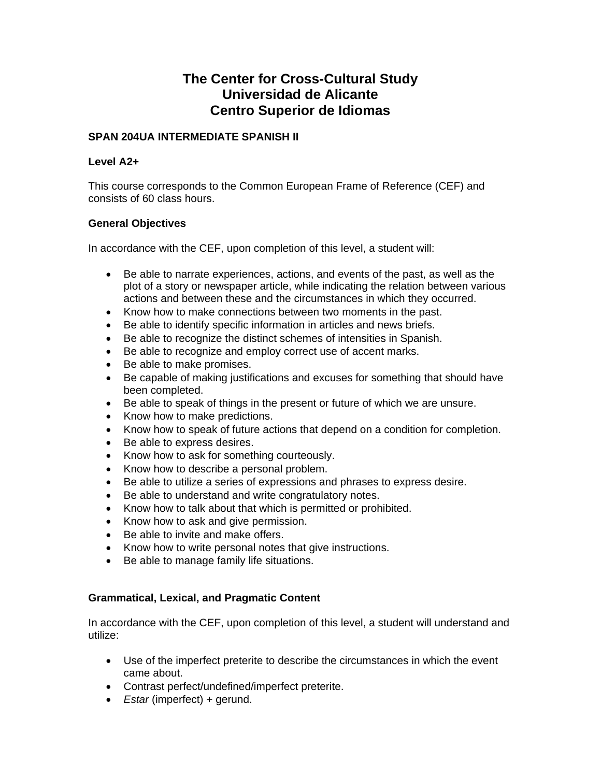# **The Center for Cross-Cultural Study Universidad de Alicante Centro Superior de Idiomas**

## **SPAN 204UA INTERMEDIATE SPANISH II**

### **Level A2+**

This course corresponds to the Common European Frame of Reference (CEF) and consists of 60 class hours.

## **General Objectives**

In accordance with the CEF, upon completion of this level, a student will:

- Be able to narrate experiences, actions, and events of the past, as well as the plot of a story or newspaper article, while indicating the relation between various actions and between these and the circumstances in which they occurred.
- Know how to make connections between two moments in the past.
- Be able to identify specific information in articles and news briefs.
- Be able to recognize the distinct schemes of intensities in Spanish.
- Be able to recognize and employ correct use of accent marks.
- Be able to make promises.
- Be capable of making justifications and excuses for something that should have been completed.
- Be able to speak of things in the present or future of which we are unsure.
- Know how to make predictions.
- Know how to speak of future actions that depend on a condition for completion.
- Be able to express desires.
- Know how to ask for something courteously.
- Know how to describe a personal problem.
- Be able to utilize a series of expressions and phrases to express desire.
- Be able to understand and write congratulatory notes.
- Know how to talk about that which is permitted or prohibited.
- Know how to ask and give permission.
- Be able to invite and make offers.
- Know how to write personal notes that give instructions.
- Be able to manage family life situations.

## **Grammatical, Lexical, and Pragmatic Content**

In accordance with the CEF, upon completion of this level, a student will understand and utilize:

- Use of the imperfect preterite to describe the circumstances in which the event came about.
- Contrast perfect/undefined/imperfect preterite.
- *Estar* (imperfect) + gerund.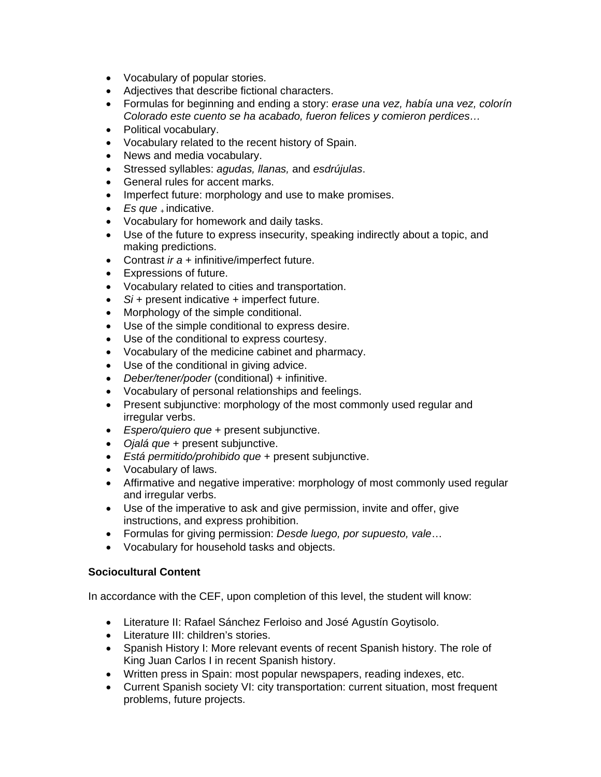- Vocabulary of popular stories.
- Adjectives that describe fictional characters.
- Formulas for beginning and ending a story: *erase una vez, había una vez, colorín Colorado este cuento se ha acabado, fueron felices y comieron perdices…*
- Political vocabulary.
- Vocabulary related to the recent history of Spain.
- News and media vocabulary.
- Stressed syllables: *agudas, llanas,* and *esdrújulas*.
- General rules for accent marks.
- Imperfect future: morphology and use to make promises.
- *Es que* <sub>+</sub> indicative.
- Vocabulary for homework and daily tasks.
- Use of the future to express insecurity, speaking indirectly about a topic, and making predictions.
- Contrast *ir a* + infinitive/imperfect future.
- Expressions of future.
- Vocabulary related to cities and transportation.
- *Si* + present indicative + imperfect future.
- Morphology of the simple conditional.
- Use of the simple conditional to express desire.
- Use of the conditional to express courtesy.
- Vocabulary of the medicine cabinet and pharmacy.
- Use of the conditional in giving advice.
- *Deber/tener/poder* (conditional) + infinitive.
- Vocabulary of personal relationships and feelings.
- Present subjunctive: morphology of the most commonly used regular and irregular verbs.
- *Espero/quiero que* + present subjunctive.
- *Ojalá que* + present subjunctive.
- *Está permitido/prohibido que* + present subjunctive.
- Vocabulary of laws.
- Affirmative and negative imperative: morphology of most commonly used regular and irregular verbs.
- Use of the imperative to ask and give permission, invite and offer, give instructions, and express prohibition.
- Formulas for giving permission: *Desde luego, por supuesto, vale*…
- Vocabulary for household tasks and objects.

## **Sociocultural Content**

In accordance with the CEF, upon completion of this level, the student will know:

- Literature II: Rafael Sánchez Ferloiso and José Agustín Goytisolo.
- Literature III: children's stories.
- Spanish History I: More relevant events of recent Spanish history. The role of King Juan Carlos I in recent Spanish history.
- Written press in Spain: most popular newspapers, reading indexes, etc.
- Current Spanish society VI: city transportation: current situation, most frequent problems, future projects.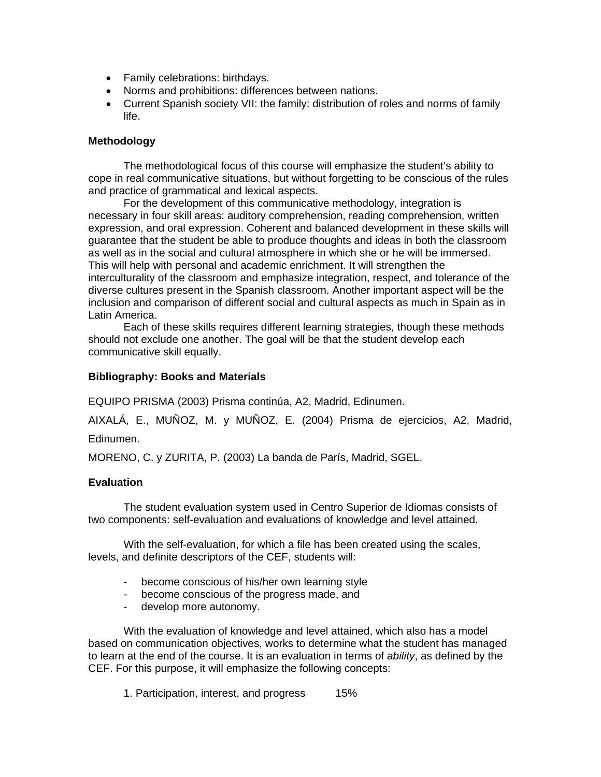- Family celebrations: birthdays.
- Norms and prohibitions: differences between nations.
- Current Spanish society VII: the family: distribution of roles and norms of family life.

### **Methodology**

 The methodological focus of this course will emphasize the student's ability to cope in real communicative situations, but without forgetting to be conscious of the rules and practice of grammatical and lexical aspects.

 For the development of this communicative methodology, integration is necessary in four skill areas: auditory comprehension, reading comprehension, written expression, and oral expression. Coherent and balanced development in these skills will guarantee that the student be able to produce thoughts and ideas in both the classroom as well as in the social and cultural atmosphere in which she or he will be immersed. This will help with personal and academic enrichment. It will strengthen the interculturality of the classroom and emphasize integration, respect, and tolerance of the diverse cultures present in the Spanish classroom. Another important aspect will be the inclusion and comparison of different social and cultural aspects as much in Spain as in Latin America.

 Each of these skills requires different learning strategies, though these methods should not exclude one another. The goal will be that the student develop each communicative skill equally.

### **Bibliography: Books and Materials**

EQUIPO PRISMA (2003) Prisma continúa, A2, Madrid, Edinumen.

AIXALÁ, E., MUÑOZ, M. y MUÑOZ, E. (2004) Prisma de ejercicios, A2, Madrid, Edinumen.

MORENO, C. y ZURITA, P. (2003) La banda de París, Madrid, SGEL.

#### **Evaluation**

The student evaluation system used in Centro Superior de Idiomas consists of two components: self-evaluation and evaluations of knowledge and level attained.

 With the self-evaluation, for which a file has been created using the scales, levels, and definite descriptors of the CEF, students will:

- become conscious of his/her own learning style
- become conscious of the progress made, and
- develop more autonomy.

 With the evaluation of knowledge and level attained, which also has a model based on communication objectives, works to determine what the student has managed to learn at the end of the course. It is an evaluation in terms of *ability*, as defined by the CEF. For this purpose, it will emphasize the following concepts:

1. Participation, interest, and progress 15%